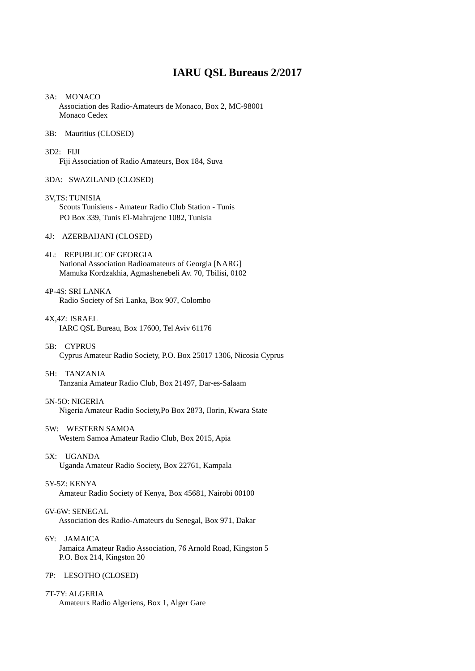# **IARU QSL Bureaus 2/2017**

3A: MONACO Association des Radio-Amateurs de Monaco, Box 2, MC-98001 Monaco Cedex

### 3B: Mauritius (CLOSED)

- 3D2: FIJI Fiji Association of Radio Amateurs, Box 184, Suva
- 3DA: SWAZILAND (CLOSED)
- 3V,TS: TUNISIA Scouts Tunisiens - Amateur Radio Club Station - Tunis PO Box 339, Tunis El-Mahrajene 1082, Tunisia

#### 4J: AZERBAIJANI (CLOSED)

- 4L: REPUBLIC OF GEORGIA National Association Radioamateurs of Georgia [NARG] Mamuka Kordzakhia, Agmashenebeli Av. 70, Tbilisi, 0102
- 4P-4S: SRI LANKA Radio Society of Sri Lanka, Box 907, Colombo
- 4X,4Z: ISRAEL IARC QSL Bureau, Box 17600, Tel Aviv 61176
- 5B: CYPRUS Cyprus Amateur Radio Society, P.O. Box 25017 1306, Nicosia Cyprus

# 5H: TANZANIA

Tanzania Amateur Radio Club, Box 21497, Dar-es-Salaam

# 5N-5O: NIGERIA

Nigeria Amateur Radio Society,Po Box 2873, Ilorin, Kwara State

- 5W: WESTERN SAMOA Western Samoa Amateur Radio Club, Box 2015, Apia
- 5X: UGANDA Uganda Amateur Radio Society, Box 22761, Kampala

#### 5Y-5Z: KENYA

Amateur Radio Society of Kenya, Box 45681, Nairobi 00100

#### 6V-6W: SENEGAL

Association des Radio-Amateurs du Senegal, Box 971, Dakar

6Y: JAMAICA Jamaica Amateur Radio Association, 76 Arnold Road, Kingston 5 P.O. Box 214, Kingston 20

# 7P: LESOTHO (CLOSED)

7T-7Y: ALGERIA

Amateurs Radio Algeriens, Box 1, Alger Gare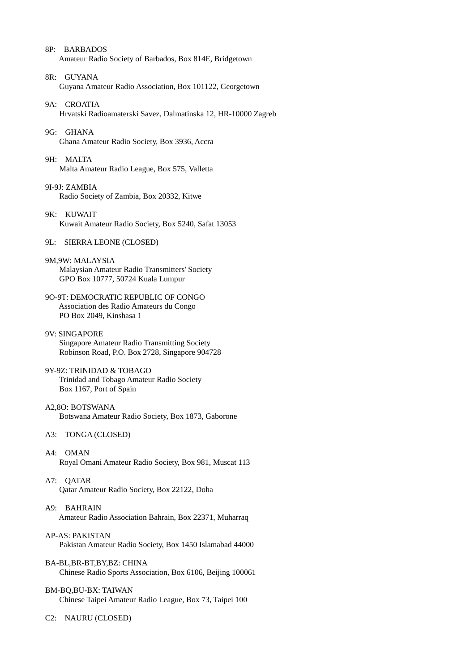8P: BARBADOS Amateur Radio Society of Barbados, Box 814E, Bridgetown

- 8R: GUYANA Guyana Amateur Radio Association, Box 101122, Georgetown
- 9A: CROATIA Hrvatski Radioamaterski Savez, Dalmatinska 12, HR-10000 Zagreb

9G: GHANA Ghana Amateur Radio Society, Box 3936, Accra

9H: MALTA Malta Amateur Radio League, Box 575, Valletta

9I-9J: ZAMBIA Radio Society of Zambia, Box 20332, Kitwe

9K: KUWAIT Kuwait Amateur Radio Society, Box 5240, Safat 13053

9L: SIERRA LEONE (CLOSED)

9M,9W: MALAYSIA Malaysian Amateur Radio Transmitters' Society GPO Box 10777, 50724 Kuala Lumpur

- 9O-9T: DEMOCRATIC REPUBLIC OF CONGO Association des Radio Amateurs du Congo PO Box 2049, Kinshasa 1
- 9V: SINGAPORE Singapore Amateur Radio Transmitting Society Robinson Road, P.O. Box 2728, Singapore 904728

9Y-9Z: TRINIDAD & TOBAGO Trinidad and Tobago Amateur Radio Society Box 1167, Port of Spain

# A2,8O: BOTSWANA Botswana Amateur Radio Society, Box 1873, Gaborone

A3: TONGA (CLOSED)

A4: OMAN Royal Omani Amateur Radio Society, Box 981, Muscat 113

A7: QATAR Qatar Amateur Radio Society, Box 22122, Doha

- A9: BAHRAIN Amateur Radio Association Bahrain, Box 22371, Muharraq
- AP-AS: PAKISTAN Pakistan Amateur Radio Society, Box 1450 Islamabad 44000
- BA-BL,BR-BT,BY,BZ: CHINA Chinese Radio Sports Association, Box 6106, Beijing 100061

# BM-BQ,BU-BX: TAIWAN

Chinese Taipei Amateur Radio League, Box 73, Taipei 100

C2: NAURU (CLOSED)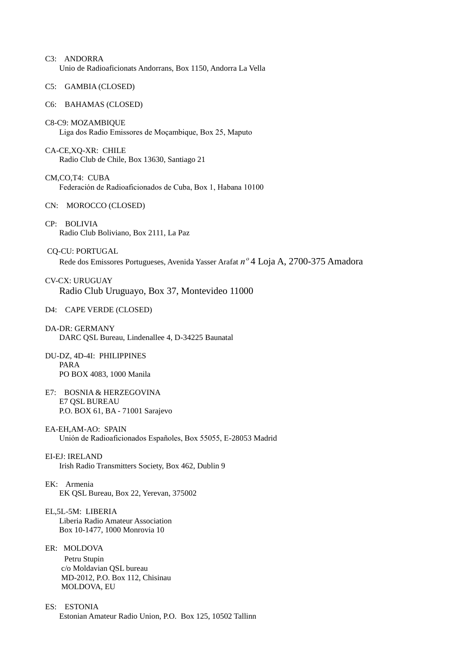- C3: ANDORRA Unio de Radioaficionats Andorrans, Box 1150, Andorra La Vella
- C5: GAMBIA (CLOSED)
- C6: BAHAMAS (CLOSED)
- C8-C9: MOZAMBIQUE Liga dos Radio Emissores de Moçambique, Box 25, Maputo

CA-CE,XQ-XR: CHILE Radio Club de Chile, Box 13630, Santiago 21

CM,CO,T4: CUBA Federación de Radioaficionados de Cuba, Box 1, Habana 10100

- CN: MOROCCO (CLOSED)
- CP: BOLIVIA Radio Club Boliviano, Box 2111, La Paz

CQ-CU: PORTUGAL Rede dos Emissores Portugueses, Avenida Yasser Arafat *nº* 4 Loja A, 2700-375 Amadora

CV-CX: URUGUAY Radio Club Uruguayo, Box 37, Montevideo 11000

- D4: CAPE VERDE (CLOSED)
- DA-DR: GERMANY DARC QSL Bureau, Lindenallee 4, D-34225 Baunatal
- DU-DZ, 4D-4I: PHILIPPINES PARA PO BOX 4083, 1000 Manila
- E7: BOSNIA & HERZEGOVINA E7 QSL BUREAU P.O. BOX 61, BA - 71001 Sarajevo
- EA-EH,AM-AO: SPAIN Unión de Radioaficionados Españoles, Box 55055, E-28053 Madrid
- EI-EJ: IRELAND Irish Radio Transmitters Society, Box 462, Dublin 9
- EK: Armenia EK QSL Bureau, Box 22, Yerevan, 375002
- EL,5L-5M: LIBERIA Liberia Radio Amateur Association Box 10-1477, 1000 Monrovia 10
- ER: MOLDOVA

Petru Stupin c/o Moldavian QSL bureau MD-2012, P.O. Box 112, Chisinau MOLDOVA, EU

ES: ESTONIA Estonian Amateur Radio Union, P.O. Box 125, 10502 Tallinn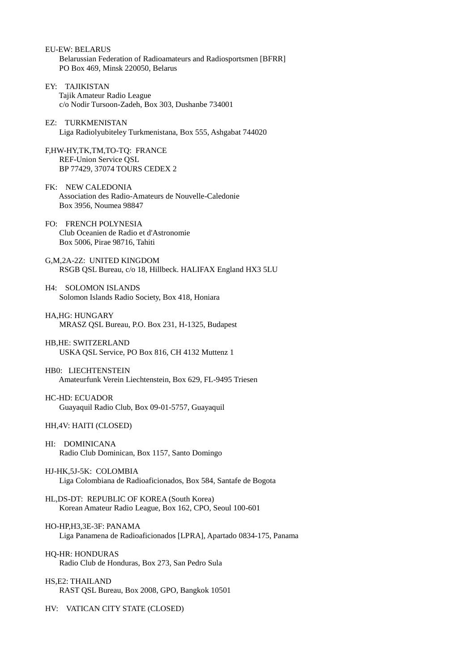- EU-EW: BELARUS Belarussian Federation of Radioamateurs and Radiosportsmen [BFRR] PO Box 469, Minsk 220050, Belarus
- EY: TAJIKISTAN Tajik Amateur Radio League c/o Nodir Tursoon-Zadeh, Box 303, Dushanbe 734001
- EZ: TURKMENISTAN Liga Radiolyubiteley Turkmenistana, Box 555, Ashgabat 744020
- F,HW-HY,TK,TM,TO-TQ: FRANCE REF-Union Service QSL BP 77429, 37074 TOURS CEDEX 2
- FK: NEW CALEDONIA Association des Radio-Amateurs de Nouvelle-Caledonie Box 3956, Noumea 98847
- FO: FRENCH POLYNESIA Club Oceanien de Radio et d'Astronomie Box 5006, Pirae 98716, Tahiti
- G,M,2A-2Z: UNITED KINGDOM RSGB QSL Bureau, c/o 18, Hillbeck. HALIFAX England HX3 5LU
- H4: SOLOMON ISLANDS Solomon Islands Radio Society, Box 418, Honiara
- HA,HG: HUNGARY MRASZ QSL Bureau, P.O. Box 231, H-1325, Budapest
- HB,HE: SWITZERLAND USKA QSL Service, PO Box 816, CH 4132 Muttenz 1
- HB0: LIECHTENSTEIN Amateurfunk Verein Liechtenstein, Box 629, FL-9495 Triesen
- HC-HD: ECUADOR Guayaquil Radio Club, Box 09-01-5757, Guayaquil
- HH,4V: HAITI (CLOSED)
- HI: DOMINICANA Radio Club Dominican, Box 1157, Santo Domingo
- HJ-HK,5J-5K: COLOMBIA Liga Colombiana de Radioaficionados, Box 584, Santafe de Bogota
- HL,DS-DT: REPUBLIC OF KOREA (South Korea) Korean Amateur Radio League, Box 162, CPO, Seoul 100-601
- HO-HP,H3,3E-3F: PANAMA Liga Panamena de Radioaficionados [LPRA], Apartado 0834-175, Panama
- HQ-HR: HONDURAS Radio Club de Honduras, Box 273, San Pedro Sula
- HS,E2: THAILAND RAST QSL Bureau, Box 2008, GPO, Bangkok 10501

HV: VATICAN CITY STATE (CLOSED)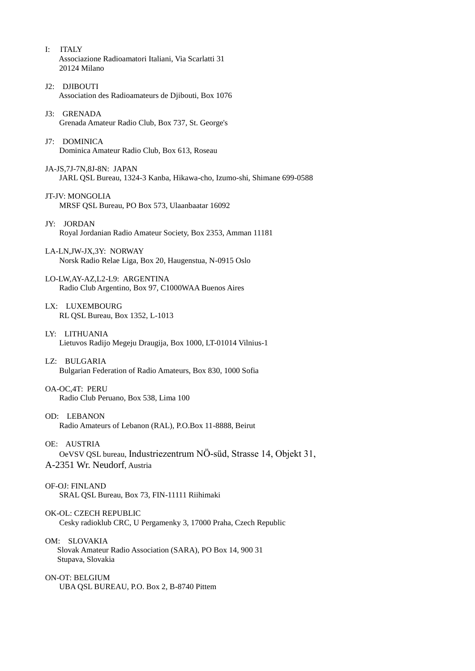- I: ITALY Associazione Radioamatori Italiani, Via Scarlatti 31 20124 Milano
- J2: DJIBOUTI Association des Radioamateurs de Djibouti, Box 1076
- J3: GRENADA Grenada Amateur Radio Club, Box 737, St. George's
- J7: DOMINICA Dominica Amateur Radio Club, Box 613, Roseau
- JA-JS,7J-7N,8J-8N: JAPAN JARL QSL Bureau, 1324-3 Kanba, Hikawa-cho, Izumo-shi, Shimane 699-0588
- JT-JV: MONGOLIA MRSF QSL Bureau, PO Box 573, Ulaanbaatar 16092
- JY: JORDAN Royal Jordanian Radio Amateur Society, Box 2353, Amman 11181
- LA-LN,JW-JX,3Y: NORWAY Norsk Radio Relae Liga, Box 20, Haugenstua, N-0915 Oslo
- LO-LW,AY-AZ,L2-L9: ARGENTINA Radio Club Argentino, Box 97, C1000WAA Buenos Aires
- LX: LUXEMBOURG RL QSL Bureau, Box 1352, L-1013
- LY: LITHUANIA Lietuvos Radijo Megeju Draugija, Box 1000, LT-01014 Vilnius-1
- LZ: BULGARIA Bulgarian Federation of Radio Amateurs, Box 830, 1000 Sofia
- OA-OC,4T: PERU Radio Club Peruano, Box 538, Lima 100
- OD: LEBANON Radio Amateurs of Lebanon (RAL), P.O.Box 11-8888, Beirut
- OE: AUSTRIA OeVSV QSL bureau, Industriezentrum NÖ-süd, Strasse 14, Objekt 31,
- A-2351 Wr. Neudorf, Austria
- OF-OJ: FINLAND SRAL QSL Bureau, Box 73, FIN-11111 Riihimaki
- OK-OL: CZECH REPUBLIC Cesky radioklub CRC, U Pergamenky 3, 17000 Praha, Czech Republic
- OM: SLOVAKIA Slovak Amateur Radio Association (SARA), PO Box 14, 900 31 Stupava, Slovakia
- ON-OT: BELGIUM UBA QSL BUREAU, P.O. Box 2, B-8740 Pittem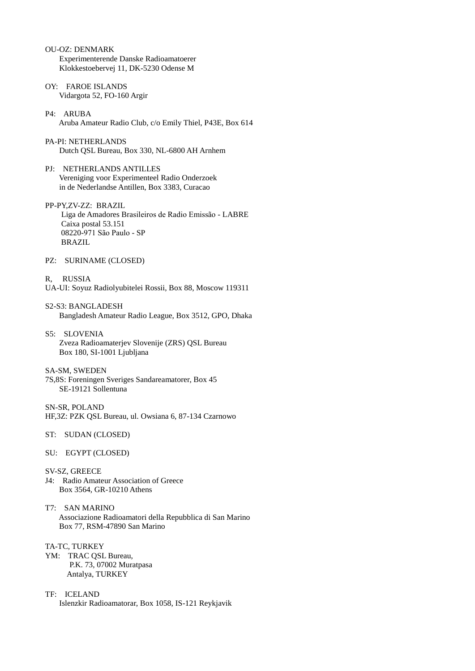- OU-OZ: DENMARK Experimenterende Danske Radioamatoerer Klokkestoebervej 11, DK-5230 Odense M
- OY: FAROE ISLANDS Vidargota 52, FO-160 Argir
- P4: ARUBA Aruba Amateur Radio Club, c/o Emily Thiel, P43E, Box 614
- PA-PI: NETHERLANDS Dutch QSL Bureau, Box 330, NL-6800 AH Arnhem
- PJ: NETHERLANDS ANTILLES Vereniging voor Experimenteel Radio Onderzoek in de Nederlandse Antillen, Box 3383, Curacao
- PP-PY,ZV-ZZ: BRAZIL Liga de Amadores Brasileiros de Radio Emissão - LABRE Caixa postal 53.151 08220-971 São Paulo - SP **BRAZIL**
- PZ: SURINAME (CLOSED)
- R, RUSSIA UA-UI: Soyuz Radiolyubitelei Rossii, Box 88, Moscow 119311
- S2-S3: BANGLADESH Bangladesh Amateur Radio League, Box 3512, GPO, Dhaka
- S5: SLOVENIA Zveza Radioamaterjev Slovenije (ZRS) QSL Bureau Box 180, SI-1001 Ljubljana
- SA-SM, SWEDEN
- 7S,8S: Foreningen Sveriges Sandareamatorer, Box 45 SE-19121 Sollentuna
- SN-SR, POLAND HF,3Z: PZK QSL Bureau, ul. Owsiana 6, 87-134 Czarnowo
- ST: SUDAN (CLOSED)
- SU: EGYPT (CLOSED)
- SV-SZ, GREECE
- J4: Radio Amateur Association of Greece Box 3564, GR-10210 Athens
- T7: SAN MARINO Associazione Radioamatori della Repubblica di San Marino Box 77, RSM-47890 San Marino

TA-TC, TURKEY

- YM: TRAC QSL Bureau, P.K. 73, 07002 Muratpasa Antalya, TURKEY
- TF: ICELAND Islenzkir Radioamatorar, Box 1058, IS-121 Reykjavik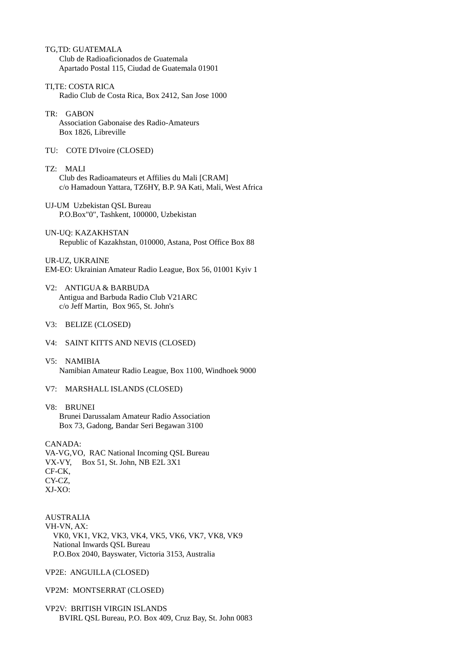- TG,TD: GUATEMALA Club de Radioaficionados de Guatemala Apartado Postal 115, Ciudad de Guatemala 01901
- TI,TE: COSTA RICA Radio Club de Costa Rica, Box 2412, San Jose 1000
- TR: GABON Association Gabonaise des Radio-Amateurs Box 1826, Libreville
- TU: COTE D'Ivoire (CLOSED)
- TZ: MALI Club des Radioamateurs et Affilies du Mali [CRAM] c/o Hamadoun Yattara, TZ6HY, B.P. 9A Kati, Mali, West Africa
- UJ-UM Uzbekistan QSL Bureau P.O.Box"0", Tashkent, 100000, Uzbekistan
- UN-UQ: KAZAKHSTAN Republic of Kazakhstan, 010000, Astana, Post Office Box 88
- UR-UZ, UKRAINE EM-EO: Ukrainian Amateur Radio League, Box 56, 01001 Kyiv 1
- V2: ANTIGUA & BARBUDA Antigua and Barbuda Radio Club V21ARC c/o Jeff Martin, Box 965, St. John's
- V3: BELIZE (CLOSED)
- V4: SAINT KITTS AND NEVIS (CLOSED)
- V5: NAMIBIA Namibian Amateur Radio League, Box 1100, Windhoek 9000
- V7: MARSHALL ISLANDS (CLOSED)

# V8: BRUNEI

Brunei Darussalam Amateur Radio Association Box 73, Gadong, Bandar Seri Begawan 3100

# CANADA:

VA-VG,VO, RAC National Incoming QSL Bureau VX-VY, Box 51, St. John, NB E2L 3X1 CF-CK, CY-CZ, XJ-XO:

AUSTRALIA

VH-VN, AX: VK0, VK1, VK2, VK3, VK4, VK5, VK6, VK7, VK8, VK9 National Inwards QSL Bureau P.O.Box 2040, Bayswater, Victoria 3153, Australia

VP2E: ANGUILLA (CLOSED)

# VP2M: MONTSERRAT (CLOSED)

VP2V: BRITISH VIRGIN ISLANDS BVIRL QSL Bureau, P.O. Box 409, Cruz Bay, St. John 0083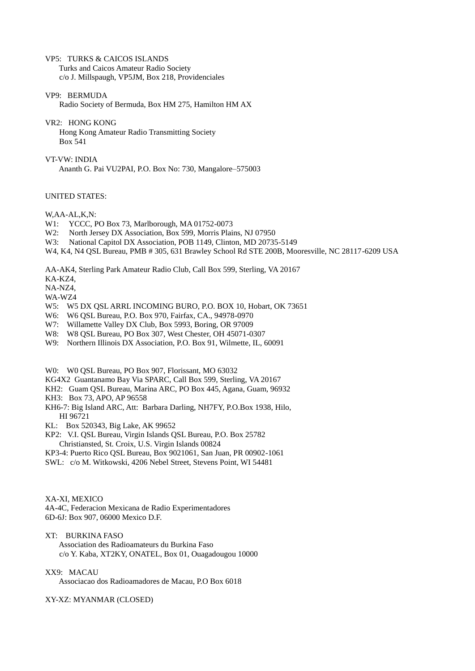VP5: TURKS & CAICOS ISLANDS Turks and Caicos Amateur Radio Society c/o J. Millspaugh, VP5JM, Box 218, Providenciales

VP9: BERMUDA Radio Society of Bermuda, Box HM 275, Hamilton HM AX

VR2: HONG KONG Hong Kong Amateur Radio Transmitting Society Box 541

VT-VW: INDIA Ananth G. Pai VU2PAI, P.O. Box No: 730, Mangalore–575003

## UNITED STATES:

W,AA-AL,K,N:

- W1: YCCC, PO Box 73, Marlborough, MA 01752-0073
- W2: North Jersey DX Association, Box 599, Morris Plains, NJ 07950
- W3: National Capitol DX Association, POB 1149, Clinton, MD 20735-5149
- W4, K4, N4 QSL Bureau, PMB # 305, 631 Brawley School Rd STE 200B, Mooresville, NC 28117-6209 USA

AA-AK4, Sterling Park Amateur Radio Club, Call Box 599, Sterling, VA 20167

KA-KZ4,

NA-NZ4,

WA-WZ4

- W5: W5 DX QSL ARRL INCOMING BURO, P.O. BOX 10, Hobart, OK 73651
- W6: W6 QSL Bureau, P.O. Box 970, Fairfax, CA., 94978-0970
- W7: Willamette Valley DX Club, Box 5993, Boring, OR 97009
- W8: W8 QSL Bureau, PO Box 307, West Chester, OH 45071-0307
- W9: Northern Illinois DX Association, P.O. Box 91, Wilmette, IL, 60091

W0: W0 QSL Bureau, PO Box 907, Florissant, MO 63032

KG4X2 Guantanamo Bay Via SPARC, Call Box 599, Sterling, VA 20167

KH2: Guam QSL Bureau, Marina ARC, PO Box 445, Agana, Guam, 96932

KH3: Box 73, APO, AP 96558

KH6-7: Big Island ARC, Att: Barbara Darling, NH7FY, P.O.Box 1938, Hilo, HI 96721

KL: Box 520343, Big Lake, AK 99652

- KP2: V.I. QSL Bureau, Virgin Islands QSL Bureau, P.O. Box 25782 Christiansted, St. Croix, U.S. Virgin Islands 00824
- KP3-4: Puerto Rico QSL Bureau, Box 9021061, San Juan, PR 00902-1061
- SWL: c/o M. Witkowski, 4206 Nebel Street, Stevens Point, WI 54481

XA-XI, MEXICO

4A-4C, Federacion Mexicana de Radio Experimentadores 6D-6J: Box 907, 06000 Mexico D.F.

XT: BURKINA FASO Association des Radioamateurs du Burkina Faso c/o Y. Kaba, XT2KY, ONATEL, Box 01, Ouagadougou 10000

XX9: MACAU

Associacao dos Radioamadores de Macau, P.O Box 6018

XY-XZ: MYANMAR (CLOSED)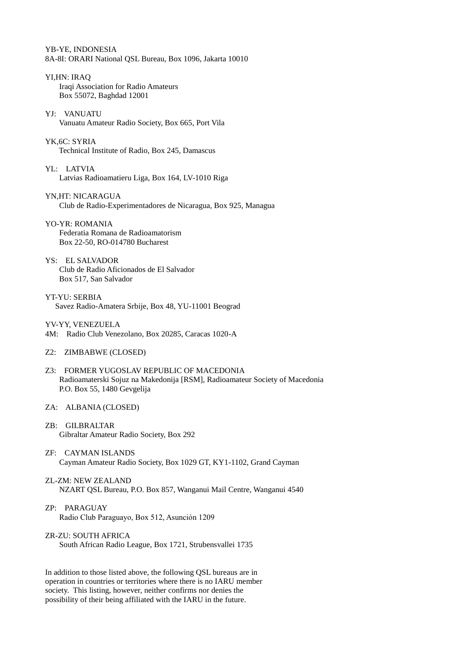YB-YE, INDONESIA 8A-8I: ORARI National QSL Bureau, Box 1096, Jakarta 10010

- YI,HN: IRAQ Iraqi Association for Radio Amateurs Box 55072, Baghdad 12001
- YJ: VANUATU Vanuatu Amateur Radio Society, Box 665, Port Vila

YK,6C: SYRIA Technical Institute of Radio, Box 245, Damascus

- YL: LATVIA Latvias Radioamatieru Liga, Box 164, LV-1010 Riga
- YN,HT: NICARAGUA Club de Radio-Experimentadores de Nicaragua, Box 925, Managua

YO-YR: ROMANIA Federatia Romana de Radioamatorism Box 22-50, RO-014780 Bucharest

YS: EL SALVADOR Club de Radio Aficionados de El Salvador Box 517, San Salvador

YT-YU: SERBIA Savez Radio-Amatera Srbije, Box 48, YU-11001 Beograd

YV-YY, VENEZUELA

- 4M: Radio Club Venezolano, Box 20285, Caracas 1020-A
- Z2: ZIMBABWE (CLOSED)
- Z3: FORMER YUGOSLAV REPUBLIC OF MACEDONIA Radioamaterski Sojuz na Makedonija [RSM], Radioamateur Society of Macedonia P.O. Box 55, 1480 Gevgelija
- ZA: ALBANIA (CLOSED)
- ZB: GILBRALTAR Gibraltar Amateur Radio Society, Box 292
- ZF: CAYMAN ISLANDS Cayman Amateur Radio Society, Box 1029 GT, KY1-1102, Grand Cayman
- ZL-ZM: NEW ZEALAND NZART QSL Bureau, P.O. Box 857, Wanganui Mail Centre, Wanganui 4540
- ZP: PARAGUAY Radio Club Paraguayo, Box 512, Asunción 1209
- ZR-ZU: SOUTH AFRICA South African Radio League, Box 1721, Strubensvallei 1735

In addition to those listed above, the following QSL bureaus are in operation in countries or territories where there is no IARU member society. This listing, however, neither confirms nor denies the possibility of their being affiliated with the IARU in the future.